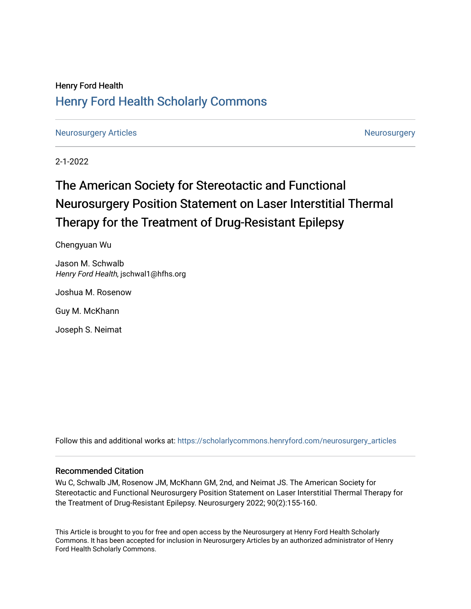## Henry Ford Health [Henry Ford Health Scholarly Commons](https://scholarlycommons.henryford.com/)

[Neurosurgery Articles](https://scholarlycommons.henryford.com/neurosurgery_articles) **[Neurosurgery](https://scholarlycommons.henryford.com/neurosurgery) Articles** Neurosurgery Neurosurgery

2-1-2022

# The American Society for Stereotactic and Functional Neurosurgery Position Statement on Laser Interstitial Thermal Therapy for the Treatment of Drug-Resistant Epilepsy

Chengyuan Wu

Jason M. Schwalb Henry Ford Health, jschwal1@hfhs.org

Joshua M. Rosenow

Guy M. McKhann

Joseph S. Neimat

Follow this and additional works at: [https://scholarlycommons.henryford.com/neurosurgery\\_articles](https://scholarlycommons.henryford.com/neurosurgery_articles?utm_source=scholarlycommons.henryford.com%2Fneurosurgery_articles%2F433&utm_medium=PDF&utm_campaign=PDFCoverPages) 

## Recommended Citation

Wu C, Schwalb JM, Rosenow JM, McKhann GM, 2nd, and Neimat JS. The American Society for Stereotactic and Functional Neurosurgery Position Statement on Laser Interstitial Thermal Therapy for the Treatment of Drug-Resistant Epilepsy. Neurosurgery 2022; 90(2):155-160.

This Article is brought to you for free and open access by the Neurosurgery at Henry Ford Health Scholarly Commons. It has been accepted for inclusion in Neurosurgery Articles by an authorized administrator of Henry Ford Health Scholarly Commons.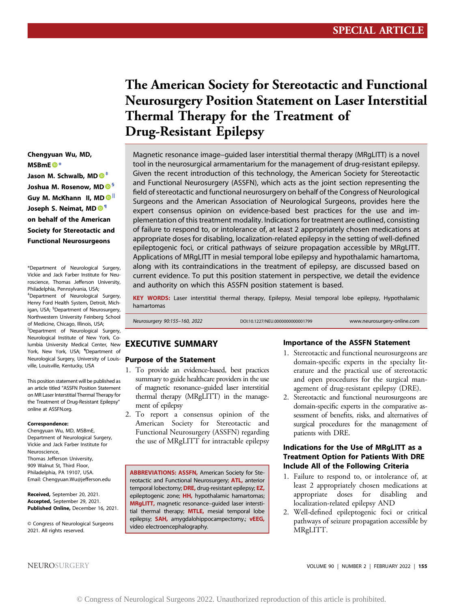## The American Society for Stereotactic and Functional Neurosurgery Position Statement on Laser Interstitial Thermal Therapy for the Treatment of Drug-Resistant Epilepsy

Magnetic resonance image–guided laser interstitial thermal therapy (MRgLITT) is a novel tool in the neurosurgical armamentarium for the management of drug-resistant epilepsy. Given the recent introduction of this technology, the American Society for Stereotactic and Functional Neurosurgery (ASSFN), which acts as the joint section representing the field of stereotactic and functional neurosurgery on behalf of the Congress of Neurological Surgeons and the American Association of Neurological Surgeons, provides here the expert consensus opinion on evidence-based best practices for the use and implementation of this treatment modality. Indications for treatment are outlined, consisting of failure to respond to, or intolerance of, at least 2 appropriately chosen medications at appropriate doses for disabling, localization-related epilepsy in the setting of well-defined epileptogenic foci, or critical pathways of seizure propagation accessible by MRgLITT. Applications of MRgLITT in mesial temporal lobe epilepsy and hypothalamic hamartoma, along with its contraindications in the treatment of epilepsy, are discussed based on current evidence. To put this position statement in perspective, we detail the evidence and authority on which this ASSFN position statement is based.

KEY WORDS: Laser interstitial thermal therapy, Epilepsy, Mesial temporal lobe epilepsy, Hypothalamic hamartomas

Neurosurgery 90:155–160, 2022 DOI:10.1227/NEU.0000000000001799 www.neurosurgery-online.com

## EXECUTIVE SUMMARY

## <span id="page-1-4"></span><span id="page-1-3"></span>Neurological Surgery, University of Louis- Purpose of the Statement

- 1. To provide an evidence-based, best practices summary to guide healthcare providers in the use of magnetic resonance–guided laser interstitial thermal therapy (MRgLITT) in the management of epilepsy
- 2. To report a consensus opinion of the American Society for Stereotactic and Functional Neurosurgery (ASSFN) regarding the use of MRgLITT for intractable epilepsy

ABBREVIATIONS: ASSFN, American Society for Stereotactic and Functional Neurosurgery; **ATL**, anterior temporal lobectomy; **DRE**, drug-resistant epilepsy; **EZ**, epileptogenic zone; HH, hypothalamic hamartomas; MRgLITT, magnetic resonance–guided laser interstitial thermal therapy; MTLE, mesial temporal lobe epilepsy; SAH, amygdalohippocampectomy.; vEEG, video electroencephalography.

#### Importance of the ASSFN Statement

- 1. Stereotactic and functional neurosurgeons are domain-specific experts in the specialty literature and the practical use of stereotactic and open procedures for the surgical management of drug-resistant epilepsy (DRE).
- 2. Stereotactic and functional neurosurgeons are domain-specific experts in the comparative assessment of benefits, risks, and alternatives of surgical procedures for the management of patients with DRE.

### Indications for the Use of MRgLITT as a Treatment Option for Patients With DRE Include All of the Following Criteria

- 1. Failure to respond to, or intolerance of, at least 2 appropriately chosen medications at appropriate doses for disabling and localization-related epilepsy AND
- 2. Well-defined epileptogenic foci or critical pathways of seizure propagation accessible by MRgLITT.

Chengyuan Wu, MD, MSBmE  $\bullet$ [\\*](#page-1-0) Jason M. Schwalb, MD  $\mathbf{O}^{\ddagger}$ Joshua M. Rosenow, MD <sup>6</sup> Guy M. McKhann II, M[D](http://orcid.org/0000-0002-9695-3564) II Joseph S. Neimat, M[D](http://orcid.org/0000-0002-1114-8938) <sup>® 1</sup> on behalf of the American Society for Stereotactic and Functional Neurosurgeons

<span id="page-1-2"></span><span id="page-1-1"></span><span id="page-1-0"></span>\*Department of Neurological Surgery, Vickie and Jack Farber Institute for Neuroscience, Thomas Jefferson University, Philadelphia, Pennsylvania, USA; ‡ Department of Neurological Surgery, Henry Ford Health System, Detroit, Michigan, USA; <sup>§</sup>Department of Neurosurgery, Northwestern University Feinberg School of Medicine, Chicago, Illinois, USA; ||Department of Neurological Surgery, Neurological Institute of New York, Columbia University Medical Center, New York, New York, USA; <sup>¶</sup>Department of

This position statement will be published as an article titled "ASSFN Position Statement on MR Laser Interstitial Thermal Therapy for the Treatment of Drug-Resistant Epilepsy" online at [ASSFN.org.](http://ASSFN.org)

ville, Louisville, Kentucky, USA

#### Correspondence:

Chengyuan Wu, MD, MSBmE, Department of Neurological Surgery, Vickie and Jack Farber Institute for Neuroscience, Thomas Jefferson University, 909 Walnut St, Third Floor, Philadelphia, PA 19107, USA. Email: [Chengyuan.Wu@jefferson.edu](mailto:Chengyuan.Wu@jefferson.edu)

Received, September 20, 2021. Accepted, September 29, 2021. Published Online, December 16, 2021.

© Congress of Neurological Surgeons 2021. All rights reserved.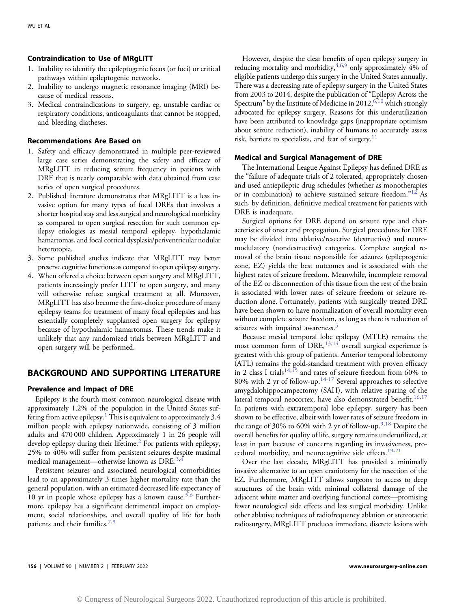#### Contraindication to Use of MRgLITT

- 1. Inability to identify the epileptogenic focus (or foci) or critical pathways within epileptogenic networks.
- 2. Inability to undergo magnetic resonance imaging (MRI) because of medical reasons.
- 3. Medical contraindications to surgery, eg, unstable cardiac or respiratory conditions, anticoagulants that cannot be stopped, and bleeding diatheses.

#### Recommendations Are Based on

- 1. Safety and efficacy demonstrated in multiple peer-reviewed large case series demonstrating the safety and efficacy of MRgLITT in reducing seizure frequency in patients with DRE that is nearly comparable with data obtained from case series of open surgical procedures.
- 2. Published literature demonstrates that MRgLITT is a less invasive option for many types of focal DREs that involves a shorter hospital stay and less surgical and neurological morbidity as compared to open surgical resection for such common epilepsy etiologies as mesial temporal epilepsy, hypothalamic hamartomas, and focal cortical dysplasia/periventricular nodular heterotopia.
- 3. Some published studies indicate that MRgLITT may better preserve cognitive functions as compared to open epilepsy surgery.
- 4. When offered a choice between open surgery and MRgLITT, patients increasingly prefer LITT to open surgery, and many will otherwise refuse surgical treatment at all. Moreover, MRgLITT has also become the first-choice procedure of many epilepsy teams for treatment of many focal epilepsies and has essentially completely supplanted open surgery for epilepsy because of hypothalamic hamartomas. These trends make it unlikely that any randomized trials between MRgLITT and open surgery will be performed.

### BACKGROUND AND SUPPORTING LITERATURE

#### Prevalence and Impact of DRE

Epilepsy is the fourth most common neurological disease with approximately 1.2% of the population in the United States suffering from active epilepsy.<sup>1</sup> This is equivalent to approximately  $3.4$ million people with epilepsy nationwide, consisting of 3 million adults and 470 000 children. Approximately 1 in 26 people will develop epilepsy during their lifetime.<sup>[2](#page-4-1)</sup> For patients with epilepsy, 25% to 40% will suffer from persistent seizures despite maximal medical management—otherwise known as DRE.<sup>3,[4](#page-4-3)</sup>

Persistent seizures and associated neurological comorbidities lead to an approximately 3 times higher mortality rate than the general population, with an estimated decreased life expectancy of 10 yr in people whose epilepsy has a known cause.<sup>[5,](#page-4-4)[6](#page-4-5)</sup> Furthermore, epilepsy has a significant detrimental impact on employment, social relationships, and overall quality of life for both patients and their families.<sup>[7,](#page-4-6)[8](#page-4-7)</sup>

However, despite the clear benefits of open epilepsy surgery in reducing mortality and morbidity,  $4,6,9$  $4,6,9$  $4,6,9$  only approximately  $4%$  of eligible patients undergo this surgery in the United States annually. There was a decreasing rate of epilepsy surgery in the United States from 2003 to 2014, despite the publication of "Epilepsy Across the Spectrum" by the Institute of Medicine in 2012,  $6,10$  $6,10$  which strongly advocated for epilepsy surgery. Reasons for this underutilization have been attributed to knowledge gaps (inappropriate optimism about seizure reduction), inability of humans to accurately assess risk, barriers to specialists, and fear of surgery.<sup>[11](#page-4-10)</sup>

#### Medical and Surgical Management of DRE

The International League Against Epilepsy has defined DRE as the "failure of adequate trials of 2 tolerated, appropriately chosen and used antiepileptic drug schedules (whether as monotherapies or in combination) to achieve sustained seizure freedom."<sup>[12](#page-4-11)</sup> As such, by definition, definitive medical treatment for patients with DRE is inadequate.

Surgical options for DRE depend on seizure type and characteristics of onset and propagation. Surgical procedures for DRE may be divided into ablative/resective (destructive) and neuromodulatory (nondestructive) categories. Complete surgical removal of the brain tissue responsible for seizures (epileptogenic zone, EZ) yields the best outcomes and is associated with the highest rates of seizure freedom. Meanwhile, incomplete removal of the EZ or disconnection of this tissue from the rest of the brain is associated with lower rates of seizure freedom or seizure reduction alone. Fortunately, patients with surgically treated DRE have been shown to have normalization of overall mortality even without complete seizure freedom, as long as there is reduction of seizures with impaired awareness.<sup>5</sup>

Because mesial temporal lobe epilepsy (MTLE) remains the most common form of DRE,  $^{13,14}$  $^{13,14}$  $^{13,14}$  $^{13,14}$  overall surgical experience is greatest with this group of patients. Anterior temporal lobectomy (ATL) remains the gold-standard treatment with proven efficacy in 2 class I trials<sup>[14](#page-4-13)[,15](#page-4-14)</sup> and rates of seizure freedom from 60% to 80% with 2 yr of follow-up.[14-17](#page-4-15) Several approaches to selective amygdalohippocampectomy (SAH), with relative sparing of the lateral temporal neocortex, have also demonstrated benefit.<sup>[16,](#page-4-16)[17](#page-4-15)</sup> In patients with extratemporal lobe epilepsy, surgery has been shown to be effective, albeit with lower rates of seizure freedom in the range of 30% to 60% with 2 yr of follow-up. $9,18$  $9,18$  Despite the overall benefits for quality of life, surgery remains underutilized, at least in part because of concerns regarding its invasiveness, pro-cedural morbidity, and neurocognitive side effects.<sup>[19](#page-4-18)[-21](#page-4-19)</sup>

Over the last decade, MRgLITT has provided a minimally invasive alternative to an open craniotomy for the resection of the EZ. Furthermore, MRgLITT allows surgeons to access to deep structures of the brain with minimal collateral damage of the adjacent white matter and overlying functional cortex—promising fewer neurological side effects and less surgical morbidity. Unlike other ablative techniques of radiofrequency ablation or stereotactic radiosurgery, MRgLITT produces immediate, discrete lesions with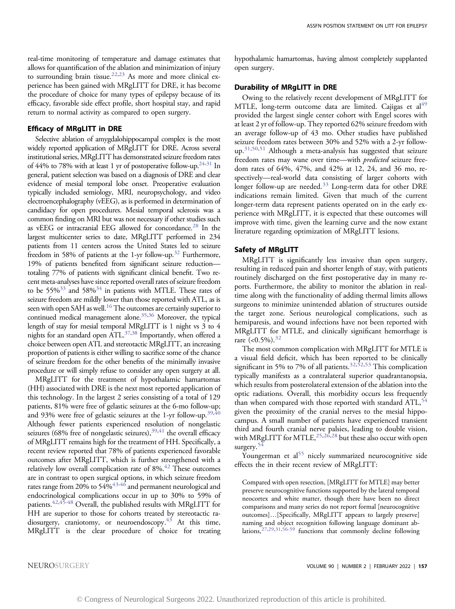real-time monitoring of temperature and damage estimates that allows for quantification of the ablation and minimization of injury to surrounding brain tissue.<sup>22,[23](#page-4-21)</sup> As more and more clinical experience has been gained with MRgLITT for DRE, it has become the procedure of choice for many types of epilepsy because of its efficacy, favorable side effect profile, short hospital stay, and rapid return to normal activity as compared to open surgery.

#### Efficacy of MRgLITT in DRE

Selective ablation of amygdalohippocampal complex is the most widely reported application of MRgLITT for DRE. Across several institutional series, MRgLITT has demonstrated seizure freedom rates of  $44\%$  to 78% with at least 1 yr of postoperative follow-up.<sup>24[-31](#page-5-0)</sup> In general, patient selection was based on a diagnosis of DRE and clear evidence of mesial temporal lobe onset. Preoperative evaluation typically included semiology, MRI, neuropsychology, and video electroencephalography (vEEG), as is performed in determination of candidacy for open procedures. Mesial temporal sclerosis was a common finding on MRI but was not necessary if other studies such as vEEG or intracranial EEG allowed for concordance.<sup>[28](#page-5-1)</sup> In the largest multicenter series to date, MRgLITT performed in 234 patients from 11 centers across the United States led to seizure freedom in 58% of patients at the 1-yr follow-up.<sup>[32](#page-5-2)</sup> Furthermore, 19% of patients benefited from significant seizure reduction totaling 77% of patients with significant clinical benefit. Two recent meta-analyses have since reported overall rates of seizure freedom to be 55%<sup>33</sup> and 58%<sup>34</sup> in patients with MTLE. These rates of seizure freedom are mildly lower than those reported with ATL, as is seen with open SAH as well.<sup>[16](#page-4-16)</sup> The outcomes are certainly superior to continued medical management alone.<sup>35,[36](#page-5-6)</sup> Moreover, the typical length of stay for mesial temporal MRgLITT is 1 night vs 3 to 4 nights for an standard open  $ATL^{37,38}$  $ATL^{37,38}$  $ATL^{37,38}$  Importantly, when offered a choice between open ATL and stereotactic MRgLITT, an increasing proportion of patients is either willing to sacrifice some of the chance of seizure freedom for the other benefits of the minimally invasive procedure or will simply refuse to consider any open surgery at all.

MRgLITT for the treatment of hypothalamic hamartomas (HH) associated with DRE is the next most reported application of this technology. In the largest 2 series consisting of a total of 129 patients, 81% were free of gelastic seizures at the 6-mo follow-up; and 93% were free of gelastic seizures at the 1-yr follow-up.<sup>39,[40](#page-5-10)</sup> Although fewer patients experienced resolution of nongelastic seizures (68% free of nongelastic seizures),<sup>39[,41](#page-5-11)</sup> the overall efficacy of MRgLITT remains high for the treatment of HH. Specifically, a recent review reported that 78% of patients experienced favorable outcomes after MRgLITT, which is further strengthened with a relatively low overall complication rate of  $8\%$ .<sup>42</sup> These outcomes are in contrast to open surgical options, in which seizure freedom rates range from 20% to 54%<sup>43[-46](#page-5-14)</sup> and permanent neurological and endocrinological complications occur in up to 30% to 59% of patients[.42](#page-5-12)[,45](#page-5-15)[-48](#page-5-16) Overall, the published results with MRgLITT for HH are superior to those for cohorts treated by stereotactic ra-diosurgery, craniotomy, or neuroendoscopy.<sup>[43](#page-5-13)</sup> At this time, MRgLITT is the clear procedure of choice for treating

hypothalamic hamartomas, having almost completely supplanted open surgery.

#### Durability of MRgLITT in DRE

Owing to the relatively recent development of MRgLITT for MTLE, long-term outcome data are limited. Cajigas et al<sup>[49](#page-5-17)</sup> provided the largest single center cohort with Engel scores with at least 2 yr of follow-up. They reported 62% seizure freedom with an average follow-up of 43 mo. Other studies have published seizure freedom rates between 30% and 52% with a 2-yr follow- $up.^{31,50,51}$  $up.^{31,50,51}$  $up.^{31,50,51}$  $up.^{31,50,51}$  $up.^{31,50,51}$  Although a meta-analysis has suggested that seizure freedom rates may wane over time—with *predicted* seizure freedom rates of 64%, 47%, and 42% at 12, 24, and 36 mo, respectively—real-world data consisting of larger cohorts with longer follow-up are needed.[33](#page-5-3) Long-term data for other DRE indications remain limited. Given that much of the current longer-term data represent patients operated on in the early experience with MRgLITT, it is expected that these outcomes will improve with time, given the learning curve and the now extant literature regarding optimization of MRgLITT lesions.

#### Safety of MRgLITT

MRgLITT is significantly less invasive than open surgery, resulting in reduced pain and shorter length of stay, with patients routinely discharged on the first postoperative day in many reports. Furthermore, the ability to monitor the ablation in realtime along with the functionality of adding thermal limits allows surgeons to minimize unintended ablation of structures outside the target zone. Serious neurological complications, such as hemiparesis, and wound infections have not been reported with MRgLITT for MTLE, and clinically significant hemorrhage is rare  $(<0.5\%)$ .<sup>[32](#page-5-2)</sup>

The most common complication with MRgLITT for MTLE is a visual field deficit, which has been reported to be clinically significant in 5% to 7% of all patients.<sup>[32,](#page-5-2)[52](#page-5-20)[,53](#page-5-21)</sup> This complication typically manifests as a contralateral superior quadrantanopsia, which results from posterolateral extension of the ablation into the optic radiations. Overall, this morbidity occurs less frequently than when compared with those reported with standard  $ATL$ ,  $^{54}$  $^{54}$  $^{54}$ given the proximity of the cranial nerves to the mesial hippocampus. A small number of patients have experienced transient third and fourth cranial nerve palsies, leading to double vision, with MRgLITT for MTLE,<sup>25[,26](#page-5-24)[,28](#page-5-1)</sup> but these also occur with open surgery.<sup>[54](#page-5-22)</sup>

Youngerman et al<sup>[55](#page-5-25)</sup> nicely summarized neurocognitive side effects the in their recent review of MRgLITT:

Compared with open resection, [MRgLITT for MTLE] may better preserve neurocognitive functions supported by the lateral temporal neocortex and white matter, though there have been no direct comparisons and many series do not report formal [neurocognitive outcomes]…[Specifically, MRgLITT appears to largely preserve] naming and object recognition following language dominant ab-lations,<sup>[27](#page-5-26)[,29](#page-5-27)[,31](#page-5-0),[56](#page-5-28)[-59](#page-5-29)</sup> functions that commonly decline following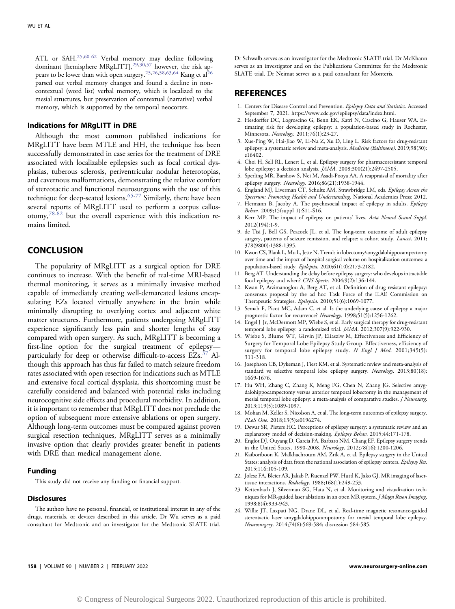ATL or SAH.[25](#page-5-23),[60](#page-5-30)[-62](#page-5-31) Verbal memory may decline following dominant [hemisphere MRgLITT],<sup>[29,](#page-5-27)[30](#page-5-32)[,57](#page-5-33)</sup> however, the risk appears to be lower than with open surgery.[25](#page-5-23),[26,](#page-5-24)[58,](#page-5-34)[63,](#page-5-35)[64](#page-5-36) Kang et a[l26](#page-5-24) parsed out verbal memory changes and found a decline in noncontextual (word list) verbal memory, which is localized to the mesial structures, but preservation of contextual (narrative) verbal memory, which is supported by the temporal neocortex.

#### Indications for MRgLITT in DRE

Although the most common published indications for MRgLITT have been MTLE and HH, the technique has been successfully demonstrated in case series for the treatment of DRE associated with localizable epilepsies such as focal cortical dysplasias, tuberous sclerosis, periventricular nodular heterotopias, and cavernous malformations, demonstrating the relative comfort of stereotactic and functional neurosurgeons with the use of this technique for deep-seated lesions.  $65-77$  $65-77$  Similarly, there have been several reports of MRgLITT used to perform a corpus callosotomy,[78-](#page-6-1)[82](#page-6-2) but the overall experience with this indication remains limited.

## **CONCLUSION**

The popularity of MRgLITT as a surgical option for DRE continues to increase. With the benefit of real-time MRI-based thermal monitoring, it serves as a minimally invasive method capable of immediately creating well-demarcated lesions encapsulating EZs located virtually anywhere in the brain while minimally disrupting to overlying cortex and adjacent white matter structures. Furthermore, patients undergoing MRgLITT experience significantly less pain and shorter lengths of stay compared with open surgery. As such, MRgLITT is becoming a first-line option for the surgical treatment of epilepsy particularly for deep or otherwise difficult-to-access EZs.[37](#page-5-7) Although this approach has thus far failed to match seizure freedom rates associated with open resection for indications such as MTLE and extensive focal cortical dysplasia, this shortcoming must be carefully considered and balanced with potential risks including neurocognitive side effects and procedural morbidity. In addition, it is important to remember that MRgLITT does not preclude the option of subsequent more extensive ablations or open surgery. Although long-term outcomes must be compared against proven surgical resection techniques, MRgLITT serves as a minimally invasive option that clearly provides greater benefit in patients with DRE than medical management alone.

#### Funding

This study did not receive any funding or financial support.

#### **Disclosures**

The authors have no personal, financial, or institutional interest in any of the drugs, materials, or devices described in this article. Dr Wu serves as a paid consultant for Medtronic and an investigator for the Medtronic SLATE trial. Dr Schwalb serves as an investigator for the Medtronic SLATE trial. Dr McKhann serves as an investigator and on the Publications Committee for the Medtronic SLATE trial. Dr Neimat serves as a paid consultant for Monteris.

#### **REFERENCES**

- <span id="page-4-0"></span>1. Centers for Disease Control and Prevention. Epilepsy Data and Statistics. Accessed September 7, 2021.<https://www.cdc.gov/epilepsy/data/index.html>.
- <span id="page-4-1"></span>2. Hesdorffer DC, Logroscino G, Benn EK, Katri N, Cascino G, Hauser WA. Estimating risk for developing epilepsy: a population-based study in Rochester, Minnesota. Neurology. 2011;76(1):23-27.
- <span id="page-4-2"></span>3. Xue-Ping W, Hai-Jiao W, Li-Na Z, Xu D, Ling L. Risk factors for drug-resistant epilepsy: a systematic review and meta-analysis. Medicine (Baltimore). 2019;98(30): e16402.
- <span id="page-4-3"></span>4. Choi H, Sell RL, Lenert L, et al. Epilepsy surgery for pharmacoresistant temporal lobe epilepsy: a decision analysis. JAMA. 2008;300(21):2497-2505.
- <span id="page-4-4"></span>5. Sperling MR, Barshow S, Nei M, Asadi-Pooya AA. A reappraisal of mortality after epilepsy surgery. Neurology. 2016;86(21):1938-1944.
- <span id="page-4-5"></span>6. England MJ, Liverman CT, Schultz AM, Strawbridge LM, eds. Epilepsy Across the Spectrum: Promoting Health and Understanding. National Academies Press; 2012.
- <span id="page-4-6"></span>7. Hermann B, Jacoby A. The psychosocial impact of epilepsy in adults. Epilepsy Behav. 2009;15(suppl 1):S11-S16.
- <span id="page-4-7"></span>8. Kerr MP. The impact of epilepsy on patients' lives. Acta Neurol Scand Suppl. 2012(194):1-9.
- <span id="page-4-8"></span>9. de Tisi J, Bell GS, Peacock JL, et al. The long-term outcome of adult epilepsy surgery, patterns of seizure remission, and relapse: a cohort study. Lancet. 2011; 378(9800):1388-1395.
- <span id="page-4-9"></span>10. Kwon CS, Blank L, Mu L, Jette N. Trends in lobectomy/amygdalohippocampectomy over time and the impact of hospital surgical volume on hospitalization outcomes: a population-based study. Epilepsia. 2020;61(10):2173-2182.
- <span id="page-4-10"></span>11. Berg AT. Understanding the delay before epilepsy surgery: who develops intractable focal epilepsy and when? CNS Spectr. 2004;9(2):136-144.
- <span id="page-4-11"></span>12. Kwan P, Arzimanoglou A, Berg AT, et al. Definition of drug resistant epilepsy: consensus proposal by the ad hoc Task Force of the ILAE Commission on Therapeutic Strategies. Epilepsia. 2010;51(6):1069-1077.
- <span id="page-4-12"></span>13. Semah F, Picot MC, Adam C, et al. Is the underlying cause of epilepsy a major prognostic factor for recurrence? Neurology. 1998;51(5):1256-1262.
- <span id="page-4-13"></span>14. Engel J Jr, McDermott MP, Wiebe S, et al. Early surgical therapy for drug-resistant temporal lobe epilepsy: a randomized trial. JAMA. 2012;307(9):922-930.
- <span id="page-4-14"></span>15. Wiebe S, Blume WT, Girvin JP, Eliasziw M, Effectiveness and Efficiency of Surgery for Temporal Lobe Epilepsy Study Group. Effectiveness, efficiency of surgery for temporal lobe epilepsy study. N Engl J Med. 2001;345(5): 311-318.
- <span id="page-4-16"></span>16. Josephson CB, Dykeman J, Fiest KM, et al. Systematic review and meta-analysis of standard vs selective temporal lobe epilepsy surgery. Neurology. 2013;80(18): 1669-1676.
- <span id="page-4-15"></span>17. Hu WH, Zhang C, Zhang K, Meng FG, Chen N, Zhang JG. Selective amygdalohippocampectomy versus anterior temporal lobectomy in the management of mesial temporal lobe epilepsy: a meta-analysis of comparative studies. J Neurosurg. 2013;119(5):1089-1097.
- <span id="page-4-17"></span>18. Mohan M, Keller S, Nicolson A, et al. The long-term outcomes of epilepsy surgery. PLoS One. 2018;13(5):e0196274.
- <span id="page-4-18"></span>19. Dewar SR, Pieters HC. Perceptions of epilepsy surgery: a systematic review and an explanatory model of decision-making. Epilepsy Behav. 2015;44:171-178.
- 20. Englot DJ, Ouyang D, Garcia PA, Barbaro NM, Chang EF. Epilepsy surgery trends in the United States, 1990-2008. Neurology. 2012;78(16):1200-1206.
- <span id="page-4-19"></span>21. Kaiboriboon K, Malkhachroum AM, Zrik A, et al. Epilepsy surgery in the United States: analysis of data from the national association of epilepsy centers. Epilepsy Res. 2015;116:105-109.
- <span id="page-4-20"></span>22. Jolesz FA, Bleier AR, Jakab P, Ruenzel PW, Huttl K, Jako GJ. MR imaging of lasertissue interactions. Radiology. 1988;168(1):249-253.
- <span id="page-4-21"></span>23. Kettenbach J, Silverman SG, Hata N, et al. Monitoring and visualization techniques for MR-guided laser ablations in an open MR system. *J Magn Reson Imaging*. 1998;8(4):933-943.
- <span id="page-4-22"></span>24. Willie JT, Laxpati NG, Drane DL, et al. Real-time magnetic resonance-guided stereotactic laser amygdalohippocampotomy for mesial temporal lobe epilepsy. Neurosurgery. 2014;74(6):569-584; discussion 584-585.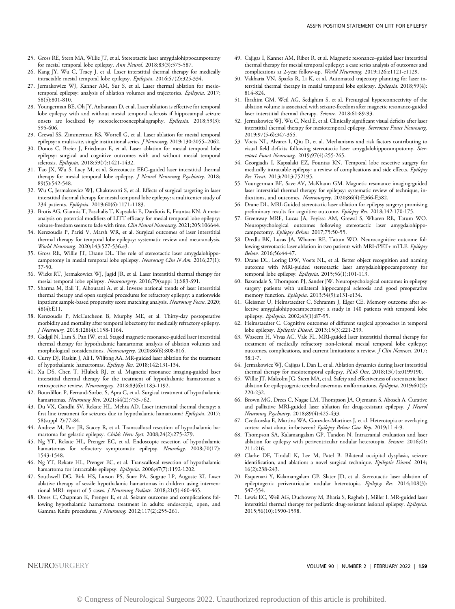- <span id="page-5-24"></span><span id="page-5-23"></span>26. Kang JY, Wu C, Tracy J, et al. Laser interstitial thermal therapy for medically intractable mesial temporal lobe epilepsy. Epilepsia. 2016;57(2):325-334.
- <span id="page-5-26"></span>27. Jermakowicz WJ, Kanner AM, Sur S, et al. Laser thermal ablation for mesiotemporal epilepsy: analysis of ablation volumes and trajectories. Epilepsia. 2017; 58(5):801-810.
- <span id="page-5-1"></span>28. Youngerman BE, Oh JY, Anbarasan D, et al. Laser ablation is effective for temporal lobe epilepsy with and without mesial temporal sclerosis if hippocampal seizure onsets are localized by stereoelectroencephalography. Epilepsia. 2018;59(3): 595-606.
- <span id="page-5-27"></span>29. Grewal SS, Zimmerman RS, Worrell G, et al. Laser ablation for mesial temporal epilepsy: a multi-site, single institutional series. *J Neurosurg*. 2019;130:2055-2062.
- <span id="page-5-32"></span>30. Donos C, Breier J, Friedman E, et al. Laser ablation for mesial temporal lobe epilepsy: surgical and cognitive outcomes with and without mesial temporal sclerosis. Epilepsia. 2018;59(7):1421-1432.
- <span id="page-5-0"></span>31. Tao JX, Wu S, Lacy M, et al. Stereotactic EEG-guided laser interstitial thermal therapy for mesial temporal lobe epilepsy. *J Neurol Neurosurg Psychiatry*. 2018; 89(5):542-548.
- <span id="page-5-2"></span>32. Wu C, Jermakowicz WJ, Chakravorti S, et al. Effects of surgical targeting in laser interstitial thermal therapy for mesial temporal lobe epilepsy: a multicenter study of 234 patients. Epilepsia. 2019;60(6):1171-1183.
- <span id="page-5-3"></span>33. Brotis AG, Giannis T, Paschalis T, Kapsalaki E, Dardiotis E, Fountas KN. A metaanalysis on potential modifiers of LITT efficacy for mesial temporal lobe epilepsy: seizure-freedom seems to fade with time. Clin Neurol Neurosurg. 2021;205:106644.
- <span id="page-5-4"></span>34. Kerezoudis P, Parisi V, Marsh WR, et al. Surgical outcomes of laser interstitial thermal therapy for temporal lobe epilepsy: systematic review and meta-analysis. World Neurosurg. 2020;143:527-536.e3.
- <span id="page-5-5"></span>35. Gross RE, Willie JT, Drane DL. The role of stereotactic laser amygdalohippocampotomy in mesial temporal lobe epilepsy. Neurosurg Clin N Am. 2016;27(1): 37-50.
- <span id="page-5-6"></span>36. Wicks RT, Jermakowicz WJ, Jagid JR, et al. Laser interstitial thermal therapy for mesial temporal lobe epilepsy. Neurosurgery. 2016;79(suppl 1):S83-S91.
- <span id="page-5-7"></span>37. Sharma M, Ball T, Alhourani A, et al. Inverse national trends of laser interstitial thermal therapy and open surgical procedures for refractory epilepsy: a nationwide inpatient sample-based propensity score matching analysis. Neurosurg Focus. 2020; 48(4):E11.
- <span id="page-5-8"></span>38. Kerezoudis P, McCutcheon B, Murphy ME, et al. Thirty-day postoperative morbidity and mortality after temporal lobectomy for medically refractory epilepsy. J Neurosurg. 2018;128(4):1158-1164.
- <span id="page-5-9"></span>39. Gadgil N, Lam S, Pan IW, et al. Staged magnetic resonance-guided laser interstitial thermal therapy for hypothalamic hamartoma: analysis of ablation volumes and morphological considerations. Neurosurgery. 2020;86(6):808-816.
- <span id="page-5-10"></span>40. Curry DJ, Raskin J, Ali I, Wilfong AA. MR-guided laser ablation for the treatment of hypothalamic hamartomas. Epilepsy Res. 2018;142:131-134.
- <span id="page-5-11"></span>41. Xu DS, Chen T, Hlubek RJ, et al. Magnetic resonance imaging-guided laser interstitial thermal therapy for the treatment of hypothalamic hamartomas: a retrospective review. Neurosurgery. 2018;83(6):1183-1192.
- <span id="page-5-12"></span>42. Bourdillon P, Ferrand-Sorbet S, Apra C, et al. Surgical treatment of hypothalamic hamartomas. Neurosurg Rev. 2021;44(2):753-762.
- <span id="page-5-13"></span>43. Du VX, Gandhi SV, Rekate HL, Mehta AD. Laser interstitial thermal therapy: a first line treatment for seizures due to hypothalamic hamartoma? Epilepsia. 2017; 58(suppl 2):77-84.
- 44. Andrew M, Parr JR, Stacey R, et al. Transcallosal resection of hypothalamic hamartoma for gelastic epilepsy. Childs Nerv Syst. 2008;24(2):275-279.
- <span id="page-5-15"></span>45. Ng YT, Rekate HL, Prenger EC, et al. Endoscopic resection of hypothalamic hamartomas for refractory symptomatic epilepsy. Neurology. 2008;70(17): 1543-1548.
- <span id="page-5-14"></span>46. Ng YT, Rekate HL, Prenger EC, et al. Transcallosal resection of hypothalamic hamartoma for intractable epilepsy. Epilepsia. 2006;47(7):1192-1202.
- 47. Southwell DG, Birk HS, Larson PS, Starr PA, Sugrue LP, Auguste KI. Laser ablative therapy of sessile hypothalamic hamartomas in children using interventional MRI: report of 5 cases. *J Neurosurg Pediatr*. 2018;21(5):460-465.
- <span id="page-5-16"></span>48. Drees C, Chapman K, Prenger E, et al. Seizure outcome and complications following hypothalamic hamartoma treatment in adults: endoscopic, open, and Gamma Knife procedures. J Neurosurg. 2012;117(2):255-261.
- <span id="page-5-17"></span>49. Cajigas I, Kanner AM, Ribot R, et al. Magnetic resonance–guided laser interstitial thermal therapy for mesial temporal epilepsy: a case series analysis of outcomes and complications at 2-year follow-up. World Neurosurg. 2019;126:e1121-e1129.
- <span id="page-5-18"></span>50. Vakharia VN, Sparks R, Li K, et al. Automated trajectory planning for laser interstitial thermal therapy in mesial temporal lobe epilepsy. Epilepsia. 2018;59(4): 814-824.
- <span id="page-5-19"></span>51. Ibrahim GM, Weil AG, Sedighim S, et al. Presurgical hyperconnectivity of the ablation volume is associated with seizure-freedom after magnetic resonance-guided laser interstitial thermal therapy. Seizure. 2018;61:89-93.
- <span id="page-5-20"></span>52. Jermakowicz WJ, Wu C, Neal E, et al. Clinically significant visual deficits after laser interstitial thermal therapy for mesiotemporal epilepsy. Stereotact Funct Neurosurg. 2019;97(5-6):347-355.
- <span id="page-5-21"></span>53. Voets NL, Alvarez I, Qiu D, et al. Mechanisms and risk factors contributing to visual field deficits following stereotactic laser amygdalohippocampotomy. Stereotact Funct Neurosurg. 2019;97(4):255-265.
- <span id="page-5-22"></span>54. Georgiadis I, Kapsalaki EZ, Fountas KN. Temporal lobe resective surgery for medically intractable epilepsy: a review of complications and side effects. Epilepsy Res Treat. 2013;2013:752195.
- <span id="page-5-25"></span>55. Youngerman BE, Save AV, McKhann GM. Magnetic resonance imaging-guided laser interstitial thermal therapy for epilepsy: systematic review of technique, indications, and outcomes. Neurosurgery. 2020;86(4):E366-E382.
- <span id="page-5-28"></span>56. Drane DL. MRI-Guided stereotactic laser ablation for epilepsy surgery: promising preliminary results for cognitive outcome. Epilepsy Res. 2018;142:170-175.
- <span id="page-5-33"></span>57. Greenway MRF, Lucas JA, Feyissa AM, Grewal S, Wharen RE, Tatum WO. Neuropsychological outcomes following stereotactic laser amygdalohippocampectomy. Epilepsy Behav. 2017;75:50-55.
- <span id="page-5-34"></span>58. Dredla BK, Lucas JA, Wharen RE, Tatum WO. Neurocognitive outcome following stereotactic laser ablation in two patients with MRI-/PET+ mTLE. Epilepsy Behav. 2016;56:44-47.
- <span id="page-5-29"></span>59. Drane DL, Loring DW, Voets NL, et al. Better object recognition and naming outcome with MRI-guided stereotactic laser amygdalohippocampotomy for temporal lobe epilepsy. Epilepsia. 2015;56(1):101-113.
- <span id="page-5-30"></span>60. Baxendale S, Thompson PJ, Sander JW. Neuropsychological outcomes in epilepsy surgery patients with unilateral hippocampal sclerosis and good preoperative memory function. Epilepsia. 2013;54(9):e131-e134.
- 61. Gleissner U, Helmstaedter C, Schramm J, Elger CE. Memory outcome after selective amygdalohippocampectomy: a study in 140 patients with temporal lobe epilepsy. Epilepsia. 2002;43(1):87-95.
- <span id="page-5-31"></span>62. Helmstaedter C. Cognitive outcomes of different surgical approaches in temporal lobe epilepsy. Epileptic Disord. 2013;15(3):221-239.
- <span id="page-5-35"></span>63. Waseem H, Vivas AC, Vale FL. MRI-guided laser interstitial thermal therapy for treatment of medically refractory non-lesional mesial temporal lobe epilepsy: outcomes, complications, and current limitations: a review. J Clin Neurosci. 2017; 38:1-7.
- <span id="page-5-36"></span>64. Jermakowicz WJ, Cajigas I, Dan L, et al. Ablation dynamics during laser interstitial thermal therapy for mesiotemporal epilepsy. PLoS One. 2018;13(7):e0199190.
- <span id="page-5-37"></span>65. Willie JT, Malcolm JG, Stern MA, et al. Safety and effectiveness of stereotactic laser ablation for epileptogenic cerebral cavernous malformations. Epilepsia. 2019;60(2): 220-232.
- 66. Brown MG, Drees C, Nagae LM, Thompson JA, Ojemann S, Abosch A. Curative and palliative MRI-guided laser ablation for drug-resistant epilepsy. J Neurol Neurosurg Psychiatry. 2018;89(4):425-433.
- 67. Cvetkovska E, Martins WA, Gonzalez-Martinez J, et al. Heterotopia or overlaying cortex: what about in-between? Epilepsy Behav Case Rep. 2019;11:4-9.
- 68. Thompson SA, Kalamangalam GP, Tandon N. Intracranial evaluation and laser ablation for epilepsy with periventricular nodular heterotopia. Seizure. 2016;41: 211-216.
- 69. Clarke DF, Tindall K, Lee M, Patel B. Bilateral occipital dysplasia, seizure identification, and ablation: a novel surgical technique. Epileptic Disord. 2014; 16(2):238-243.
- 70. Esquenazi Y, Kalamangalam GP, Slater JD, et al. Stereotactic laser ablation of epileptogenic periventricular nodular heterotopia. Epilepsy Res. 2014;108(3): 547-554.
- 71. Lewis EC, Weil AG, Duchowny M, Bhatia S, Ragheb J, Miller I. MR-guided laser interstitial thermal therapy for pediatric drug-resistant lesional epilepsy. Epilepsia. 2015;56(10):1590-1598.